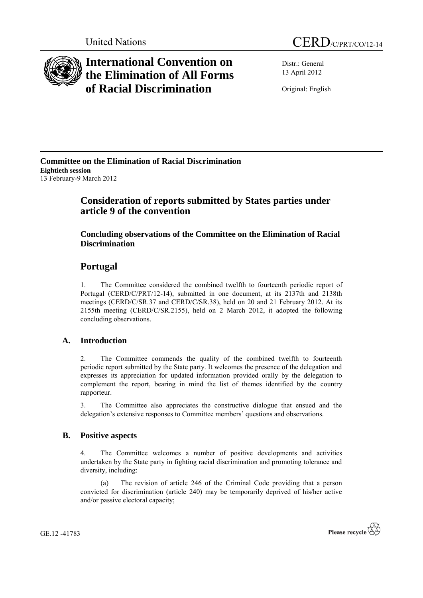

# **International Convention on the Elimination of All Forms of Racial Discrimination**

Distr.: General 13 April 2012

Original: English

**Committee on the Elimination of Racial Discrimination Eightieth session**  13 February-9 March 2012

## **Consideration of reports submitted by States parties under article 9 of the convention**

### **Concluding observations of the Committee on the Elimination of Racial Discrimination**

## **Portugal**

1. The Committee considered the combined twelfth to fourteenth periodic report of Portugal (CERD/C/PRT/12-14), submitted in one document, at its 2137th and 2138th meetings (CERD/C/SR.37 and CERD/C/SR.38), held on 20 and 21 February 2012. At its 2155th meeting (CERD/C/SR.2155), held on 2 March 2012, it adopted the following concluding observations.

### **A. Introduction**

2. The Committee commends the quality of the combined twelfth to fourteenth periodic report submitted by the State party. It welcomes the presence of the delegation and expresses its appreciation for updated information provided orally by the delegation to complement the report, bearing in mind the list of themes identified by the country rapporteur.

3. The Committee also appreciates the constructive dialogue that ensued and the delegation's extensive responses to Committee members' questions and observations.

### **B. Positive aspects**

4. The Committee welcomes a number of positive developments and activities undertaken by the State party in fighting racial discrimination and promoting tolerance and diversity, including:

(a) The revision of article 246 of the Criminal Code providing that a person convicted for discrimination (article 240) may be temporarily deprived of his/her active and/or passive electoral capacity;

GE.12 -41783

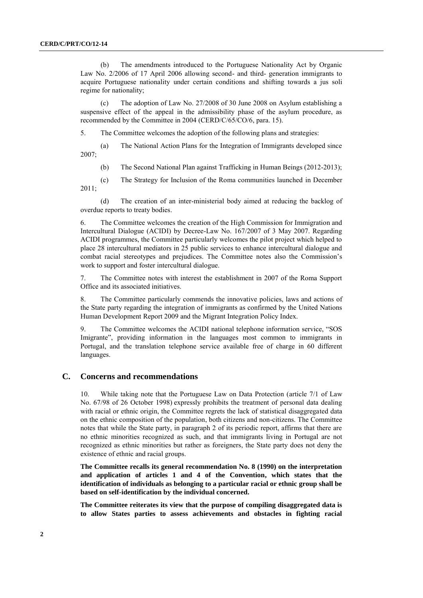(b) The amendments introduced to the Portuguese Nationality Act by Organic Law No. 2/2006 of 17 April 2006 allowing second- and third- generation immigrants to acquire Portuguese nationality under certain conditions and shifting towards a jus soli regime for nationality;

(c) The adoption of Law No. 27/2008 of 30 June 2008 on Asylum establishing a suspensive effect of the appeal in the admissibility phase of the asylum procedure, as recommended by the Committee in 2004 (CERD/C/65/CO/6, para. 15).

5. The Committee welcomes the adoption of the following plans and strategies:

(a) The National Action Plans for the Integration of Immigrants developed since 2007;

(b) The Second National Plan against Trafficking in Human Beings (2012-2013);

(c) The Strategy for Inclusion of the Roma communities launched in December 2011;

(d) The creation of an inter-ministerial body aimed at reducing the backlog of overdue reports to treaty bodies.

6. The Committee welcomes the creation of the High Commission for Immigration and Intercultural Dialogue (ACIDI) by Decree-Law No. 167/2007 of 3 May 2007. Regarding ACIDI programmes, the Committee particularly welcomes the pilot project which helped to place 28 intercultural mediators in 25 public services to enhance intercultural dialogue and combat racial stereotypes and prejudices. The Committee notes also the Commission's work to support and foster intercultural dialogue.

7. The Committee notes with interest the establishment in 2007 of the Roma Support Office and its associated initiatives.

8. The Committee particularly commends the innovative policies, laws and actions of the State party regarding the integration of immigrants as confirmed by the United Nations Human Development Report 2009 and the Migrant Integration Policy Index.

9. The Committee welcomes the ACIDI national telephone information service, "SOS Imigrante", providing information in the languages most common to immigrants in Portugal, and the translation telephone service available free of charge in 60 different languages.

#### **C. Concerns and recommendations**

10. While taking note that the Portuguese Law on Data Protection (article 7/1 of Law No. 67/98 of 26 October 1998) expressly prohibits the treatment of personal data dealing with racial or ethnic origin, the Committee regrets the lack of statistical disaggregated data on the ethnic composition of the population, both citizens and non-citizens. The Committee notes that while the State party, in paragraph 2 of its periodic report, affirms that there are no ethnic minorities recognized as such, and that immigrants living in Portugal are not recognized as ethnic minorities but rather as foreigners, the State party does not deny the existence of ethnic and racial groups.

**The Committee recalls its general recommendation No. 8 (1990) on the interpretation and application of articles 1 and 4 of the Convention, which states that the identification of individuals as belonging to a particular racial or ethnic group shall be based on self-identification by the individual concerned.** 

**The Committee reiterates its view that the purpose of compiling disaggregated data is to allow States parties to assess achievements and obstacles in fighting racial**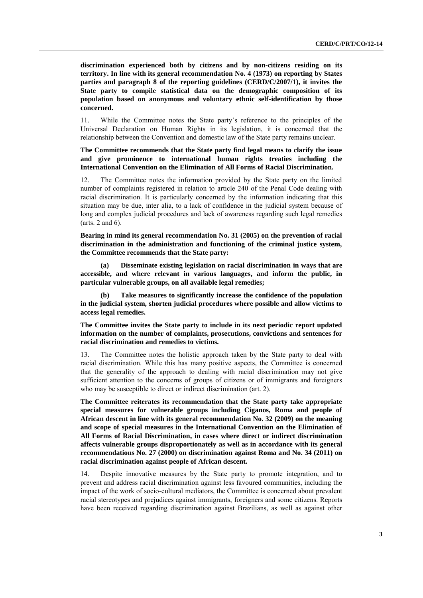**discrimination experienced both by citizens and by non-citizens residing on its territory. In line with its general recommendation No. 4 (1973) on reporting by States parties and paragraph 8 of the reporting guidelines (CERD/C/2007/1), it invites the State party to compile statistical data on the demographic composition of its population based on anonymous and voluntary ethnic self-identification by those concerned.**

11. While the Committee notes the State party's reference to the principles of the Universal Declaration on Human Rights in its legislation, it is concerned that the relationship between the Convention and domestic law of the State party remains unclear.

**The Committee recommends that the State party find legal means to clarify the issue and give prominence to international human rights treaties including the International Convention on the Elimination of All Forms of Racial Discrimination.**

12. The Committee notes the information provided by the State party on the limited number of complaints registered in relation to article 240 of the Penal Code dealing with racial discrimination. It is particularly concerned by the information indicating that this situation may be due, inter alia, to a lack of confidence in the judicial system because of long and complex judicial procedures and lack of awareness regarding such legal remedies (arts. 2 and 6).

**Bearing in mind its general recommendation No. 31 (2005) on the prevention of racial discrimination in the administration and functioning of the criminal justice system, the Committee recommends that the State party:** 

**(a) Disseminate existing legislation on racial discrimination in ways that are accessible, and where relevant in various languages, and inform the public, in particular vulnerable groups, on all available legal remedies;**

**(b) Take measures to significantly increase the confidence of the population in the judicial system, shorten judicial procedures where possible and allow victims to access legal remedies.**

**The Committee invites the State party to include in its next periodic report updated information on the number of complaints, prosecutions, convictions and sentences for racial discrimination and remedies to victims.**

13. The Committee notes the holistic approach taken by the State party to deal with racial discrimination. While this has many positive aspects, the Committee is concerned that the generality of the approach to dealing with racial discrimination may not give sufficient attention to the concerns of groups of citizens or of immigrants and foreigners who may be susceptible to direct or indirect discrimination (art. 2).

**The Committee reiterates its recommendation that the State party take appropriate special measures for vulnerable groups including Ciganos, Roma and people of African descent in line with its general recommendation No. 32 (2009) on the meaning and scope of special measures in the International Convention on the Elimination of All Forms of Racial Discrimination, in cases where direct or indirect discrimination affects vulnerable groups disproportionately as well as in accordance with its general recommendations No. 27 (2000) on discrimination against Roma and No. 34 (2011) on racial discrimination against people of African descent.**

14. Despite innovative measures by the State party to promote integration, and to prevent and address racial discrimination against less favoured communities, including the impact of the work of socio-cultural mediators, the Committee is concerned about prevalent racial stereotypes and prejudices against immigrants, foreigners and some citizens. Reports have been received regarding discrimination against Brazilians, as well as against other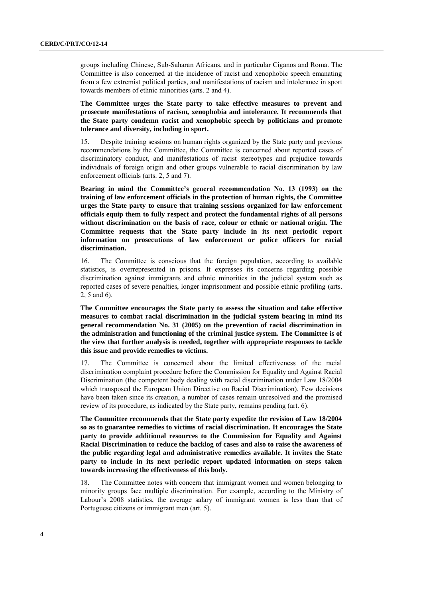groups including Chinese, Sub-Saharan Africans, and in particular Ciganos and Roma. The Committee is also concerned at the incidence of racist and xenophobic speech emanating from a few extremist political parties, and manifestations of racism and intolerance in sport towards members of ethnic minorities (arts. 2 and 4).

**The Committee urges the State party to take effective measures to prevent and prosecute manifestations of racism, xenophobia and intolerance. It recommends that the State party condemn racist and xenophobic speech by politicians and promote tolerance and diversity, including in sport.**

15. Despite training sessions on human rights organized by the State party and previous recommendations by the Committee, the Committee is concerned about reported cases of discriminatory conduct, and manifestations of racist stereotypes and prejudice towards individuals of foreign origin and other groups vulnerable to racial discrimination by law enforcement officials (arts. 2, 5 and 7).

**Bearing in mind the Committee's general recommendation No. 13 (1993) on the training of law enforcement officials in the protection of human rights, the Committee urges the State party to ensure that training sessions organized for law enforcement officials equip them to fully respect and protect the fundamental rights of all persons without discrimination on the basis of race, colour or ethnic or national origin. The Committee requests that the State party include in its next periodic report information on prosecutions of law enforcement or police officers for racial discrimination.**

16. The Committee is conscious that the foreign population, according to available statistics, is overrepresented in prisons. It expresses its concerns regarding possible discrimination against immigrants and ethnic minorities in the judicial system such as reported cases of severe penalties, longer imprisonment and possible ethnic profiling (arts. 2, 5 and 6).

**The Committee encourages the State party to assess the situation and take effective measures to combat racial discrimination in the judicial system bearing in mind its general recommendation No. 31 (2005) on the prevention of racial discrimination in the administration and functioning of the criminal justice system. The Committee is of the view that further analysis is needed, together with appropriate responses to tackle this issue and provide remedies to victims.**

17. The Committee is concerned about the limited effectiveness of the racial discrimination complaint procedure before the Commission for Equality and Against Racial Discrimination (the competent body dealing with racial discrimination under Law 18/2004 which transposed the European Union Directive on Racial Discrimination). Few decisions have been taken since its creation, a number of cases remain unresolved and the promised review of its procedure, as indicated by the State party, remains pending (art. 6).

**The Committee recommends that the State party expedite the revision of Law 18/2004 so as to guarantee remedies to victims of racial discrimination. It encourages the State party to provide additional resources to the Commission for Equality and Against Racial Discrimination to reduce the backlog of cases and also to raise the awareness of the public regarding legal and administrative remedies available. It invites the State party to include in its next periodic report updated information on steps taken towards increasing the effectiveness of this body.**

18. The Committee notes with concern that immigrant women and women belonging to minority groups face multiple discrimination. For example, according to the Ministry of Labour's 2008 statistics, the average salary of immigrant women is less than that of Portuguese citizens or immigrant men (art. 5).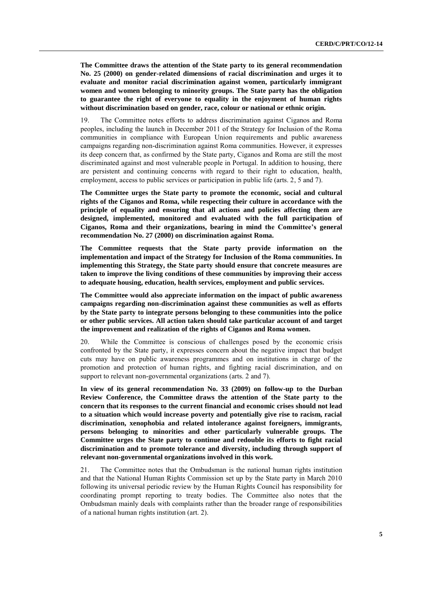**The Committee draws the attention of the State party to its general recommendation No. 25 (2000) on gender-related dimensions of racial discrimination and urges it to evaluate and monitor racial discrimination against women, particularly immigrant women and women belonging to minority groups. The State party has the obligation to guarantee the right of everyone to equality in the enjoyment of human rights without discrimination based on gender, race, colour or national or ethnic origin.**

19. The Committee notes efforts to address discrimination against Ciganos and Roma peoples, including the launch in December 2011 of the Strategy for Inclusion of the Roma communities in compliance with European Union requirements and public awareness campaigns regarding non-discrimination against Roma communities. However, it expresses its deep concern that, as confirmed by the State party, Ciganos and Roma are still the most discriminated against and most vulnerable people in Portugal. In addition to housing, there are persistent and continuing concerns with regard to their right to education, health, employment, access to public services or participation in public life (arts. 2, 5 and 7).

**The Committee urges the State party to promote the economic, social and cultural rights of the Ciganos and Roma, while respecting their culture in accordance with the principle of equality and ensuring that all actions and policies affecting them are designed, implemented, monitored and evaluated with the full participation of Ciganos, Roma and their organizations, bearing in mind the Committee's general recommendation No. 27 (2000) on discrimination against Roma.**

**The Committee requests that the State party provide information on the implementation and impact of the Strategy for Inclusion of the Roma communities. In implementing this Strategy, the State party should ensure that concrete measures are taken to improve the living conditions of these communities by improving their access to adequate housing, education, health services, employment and public services.** 

**The Committee would also appreciate information on the impact of public awareness campaigns regarding non-discrimination against these communities as well as efforts by the State party to integrate persons belonging to these communities into the police or other public services. All action taken should take particular account of and target the improvement and realization of the rights of Ciganos and Roma women.**

20. While the Committee is conscious of challenges posed by the economic crisis confronted by the State party, it expresses concern about the negative impact that budget cuts may have on public awareness programmes and on institutions in charge of the promotion and protection of human rights, and fighting racial discrimination, and on support to relevant non-governmental organizations (arts. 2 and 7).

**In view of its general recommendation No. 33 (2009) on follow-up to the Durban Review Conference, the Committee draws the attention of the State party to the concern that its responses to the current financial and economic crises should not lead to a situation which would increase poverty and potentially give rise to racism, racial discrimination, xenophobia and related intolerance against foreigners, immigrants, persons belonging to minorities and other particularly vulnerable groups. The Committee urges the State party to continue and redouble its efforts to fight racial discrimination and to promote tolerance and diversity, including through support of relevant non-governmental organizations involved in this work.**

21. The Committee notes that the Ombudsman is the national human rights institution and that the National Human Rights Commission set up by the State party in March 2010 following its universal periodic review by the Human Rights Council has responsibility for coordinating prompt reporting to treaty bodies. The Committee also notes that the Ombudsman mainly deals with complaints rather than the broader range of responsibilities of a national human rights institution (art. 2).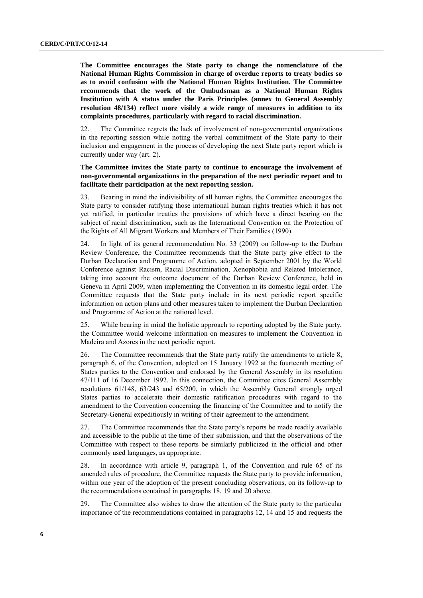**The Committee encourages the State party to change the nomenclature of the National Human Rights Commission in charge of overdue reports to treaty bodies so as to avoid confusion with the National Human Rights Institution. The Committee recommends that the work of the Ombudsman as a National Human Rights Institution with A status under the Paris Principles (annex to General Assembly resolution 48/134) reflect more visibly a wide range of measures in addition to its complaints procedures, particularly with regard to racial discrimination.**

22. The Committee regrets the lack of involvement of non-governmental organizations in the reporting session while noting the verbal commitment of the State party to their inclusion and engagement in the process of developing the next State party report which is currently under way (art. 2).

#### **The Committee invites the State party to continue to encourage the involvement of non-governmental organizations in the preparation of the next periodic report and to facilitate their participation at the next reporting session.**

23. Bearing in mind the indivisibility of all human rights, the Committee encourages the State party to consider ratifying those international human rights treaties which it has not yet ratified, in particular treaties the provisions of which have a direct bearing on the subject of racial discrimination, such as the International Convention on the Protection of the Rights of All Migrant Workers and Members of Their Families (1990).

24. In light of its general recommendation No. 33 (2009) on follow-up to the Durban Review Conference, the Committee recommends that the State party give effect to the Durban Declaration and Programme of Action, adopted in September 2001 by the World Conference against Racism, Racial Discrimination, Xenophobia and Related Intolerance, taking into account the outcome document of the Durban Review Conference, held in Geneva in April 2009, when implementing the Convention in its domestic legal order. The Committee requests that the State party include in its next periodic report specific information on action plans and other measures taken to implement the Durban Declaration and Programme of Action at the national level.

25. While bearing in mind the holistic approach to reporting adopted by the State party, the Committee would welcome information on measures to implement the Convention in Madeira and Azores in the next periodic report.

26. The Committee recommends that the State party ratify the amendments to article 8, paragraph 6, of the Convention, adopted on 15 January 1992 at the fourteenth meeting of States parties to the Convention and endorsed by the General Assembly in its resolution 47/111 of 16 December 1992. In this connection, the Committee cites General Assembly resolutions 61/148, 63/243 and 65/200, in which the Assembly General strongly urged States parties to accelerate their domestic ratification procedures with regard to the amendment to the Convention concerning the financing of the Committee and to notify the Secretary-General expeditiously in writing of their agreement to the amendment.

27. The Committee recommends that the State party's reports be made readily available and accessible to the public at the time of their submission, and that the observations of the Committee with respect to these reports be similarly publicized in the official and other commonly used languages, as appropriate.

28. In accordance with article 9, paragraph 1, of the Convention and rule 65 of its amended rules of procedure, the Committee requests the State party to provide information, within one year of the adoption of the present concluding observations, on its follow-up to the recommendations contained in paragraphs 18, 19 and 20 above.

29. The Committee also wishes to draw the attention of the State party to the particular importance of the recommendations contained in paragraphs 12, 14 and 15 and requests the